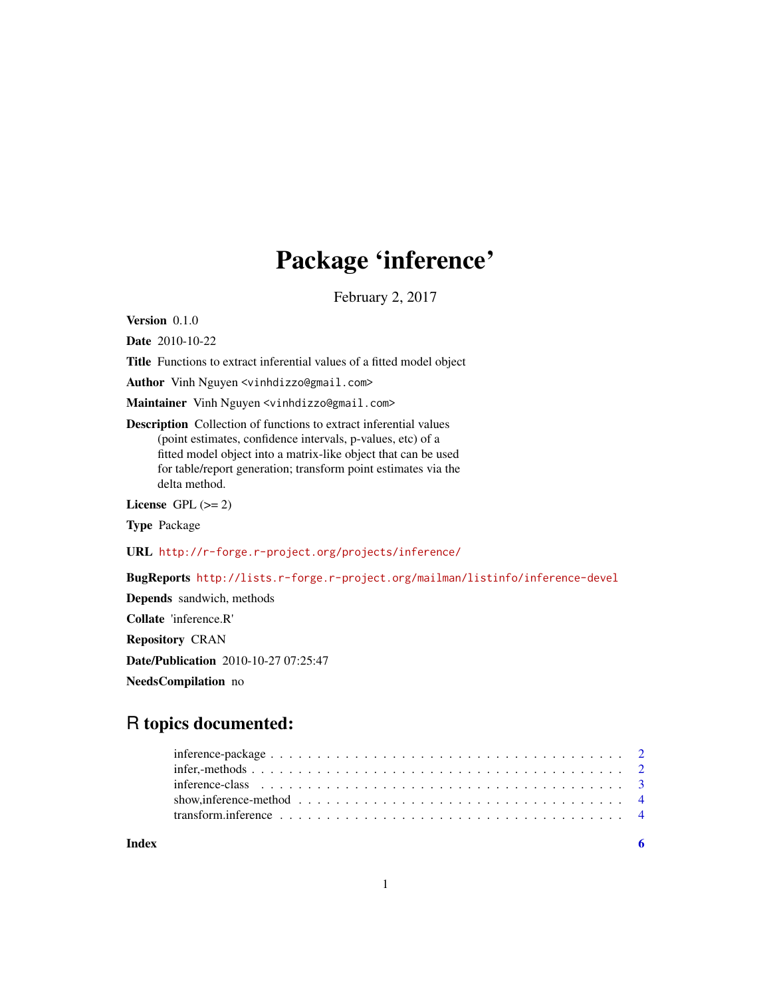## Package 'inference'

February 2, 2017

<span id="page-0-0"></span>Version 0.1.0

Date 2010-10-22

Title Functions to extract inferential values of a fitted model object

Author Vinh Nguyen <vinhdizzo@gmail.com>

Maintainer Vinh Nguyen <vinhdizzo@gmail.com>

Description Collection of functions to extract inferential values (point estimates, confidence intervals, p-values, etc) of a fitted model object into a matrix-like object that can be used for table/report generation; transform point estimates via the delta method.

License GPL  $(>= 2)$ 

Type Package

URL <http://r-forge.r-project.org/projects/inference/>

BugReports <http://lists.r-forge.r-project.org/mailman/listinfo/inference-devel>

Depends sandwich, methods Collate 'inference.R' Repository CRAN Date/Publication 2010-10-27 07:25:47 NeedsCompilation no

### R topics documented:

| show, inference-method $\ldots$ , $\ldots$ , $\ldots$ , $\ldots$ , $\ldots$ , $\ldots$ , $\ldots$ , $\ldots$ , $\ldots$ , $\ldots$ , $\qquad$ 4 |  |  |  |  |  |  |  |  |  |  |  |  |  |  |  |  |  |
|-------------------------------------------------------------------------------------------------------------------------------------------------|--|--|--|--|--|--|--|--|--|--|--|--|--|--|--|--|--|
|                                                                                                                                                 |  |  |  |  |  |  |  |  |  |  |  |  |  |  |  |  |  |

**Index** [6](#page-5-0) **6**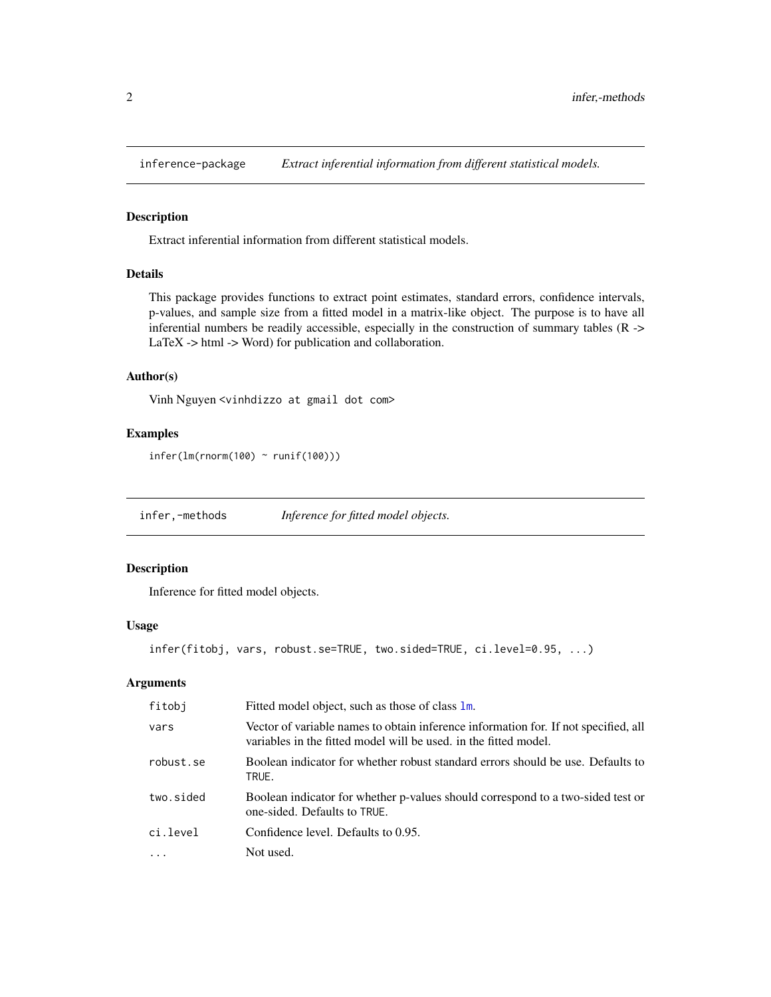<span id="page-1-0"></span>

#### Description

Extract inferential information from different statistical models.

#### Details

This package provides functions to extract point estimates, standard errors, confidence intervals, p-values, and sample size from a fitted model in a matrix-like object. The purpose is to have all inferential numbers be readily accessible, especially in the construction of summary tables (R -> LaTeX -> html -> Word) for publication and collaboration.

#### Author(s)

Vinh Nguyen <vinhdizzo at gmail dot com>

#### Examples

```
\text{infer}(\text{lm}(\text{norm}(100) \sim \text{runif}(100)))
```
infer,-methods *Inference for fitted model objects.*

#### <span id="page-1-1"></span>Description

Inference for fitted model objects.

#### Usage

```
infer(fitobj, vars, robust.se=TRUE, two.sided=TRUE, ci.level=0.95, ...)
```
#### Arguments

| fitobj    | Fitted model object, such as those of class 1m.                                                                                                         |
|-----------|---------------------------------------------------------------------------------------------------------------------------------------------------------|
| vars      | Vector of variable names to obtain inference information for. If not specified, all<br>variables in the fitted model will be used, in the fitted model. |
| robust.se | Boolean indicator for whether robust standard errors should be use. Defaults to<br>TRUE.                                                                |
| two.sided | Boolean indicator for whether p-values should correspond to a two-sided test or<br>one-sided. Defaults to TRUE.                                         |
| ci.level  | Confidence level. Defaults to 0.95.                                                                                                                     |
|           | Not used.                                                                                                                                               |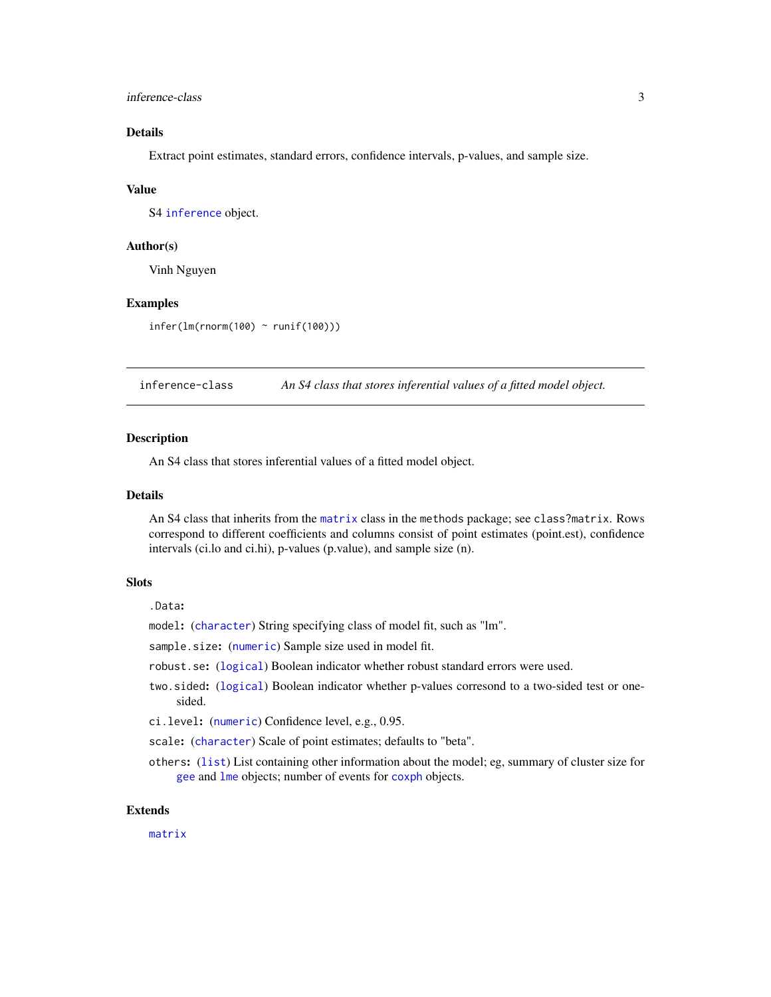#### <span id="page-2-0"></span>inference-class 3

#### Details

Extract point estimates, standard errors, confidence intervals, p-values, and sample size.

#### Value

S4 [inference](#page-2-1) object.

#### Author(s)

Vinh Nguyen

#### Examples

infer(lm(rnorm(100) ~ runif(100)))

<span id="page-2-1"></span>inference-class *An S4 class that stores inferential values of a fitted model object.*

#### **Description**

An S4 class that stores inferential values of a fitted model object.

#### Details

An S4 class that inherits from the [matrix](#page-0-0) class in the methods package; see class?matrix. Rows correspond to different coefficients and columns consist of point estimates (point.est), confidence intervals (ci.lo and ci.hi), p-values (p.value), and sample size (n).

#### **Slots**

.Data:

model: ([character](#page-0-0)) String specifying class of model fit, such as "lm".

sample.size: ([numeric](#page-0-0)) Sample size used in model fit.

robust.se: ([logical](#page-0-0)) Boolean indicator whether robust standard errors were used.

- two.sided: ([logical](#page-0-0)) Boolean indicator whether p-values corresond to a two-sided test or onesided.
- ci.level: ([numeric](#page-0-0)) Confidence level, e.g., 0.95.

scale: ([character](#page-0-0)) Scale of point estimates; defaults to "beta".

others: ([list](#page-0-0)) List containing other information about the model; eg, summary of cluster size for [gee](#page-0-0) and [lme](#page-0-0) objects; number of events for [coxph](#page-0-0) objects.

#### Extends

[matrix](#page-0-0)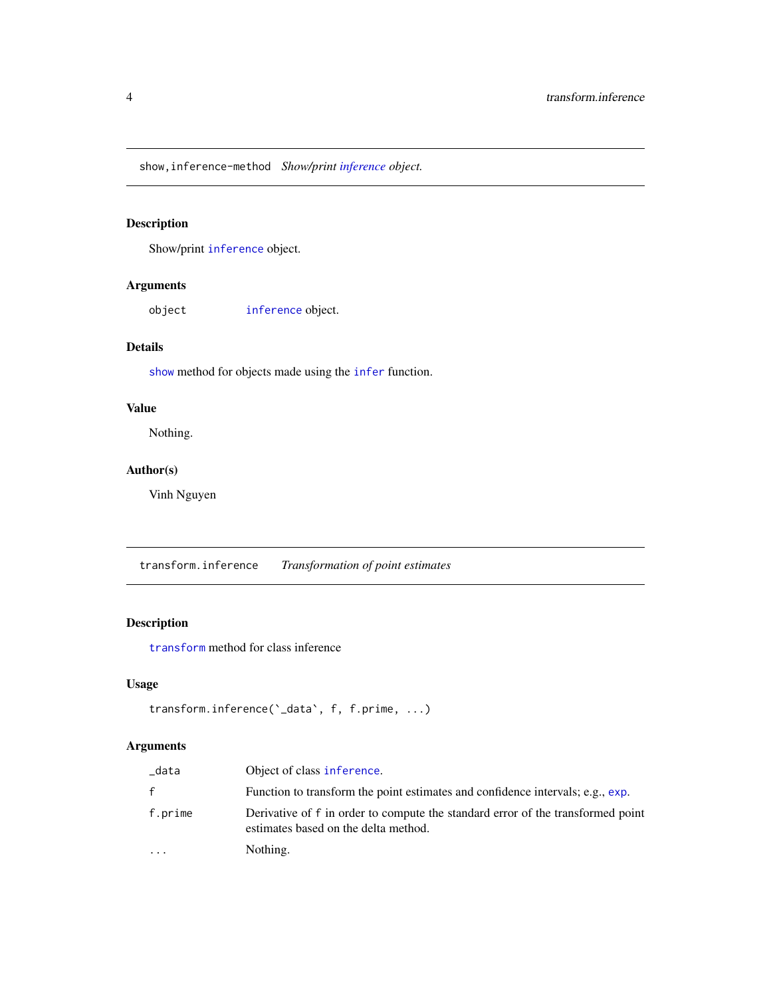<span id="page-3-0"></span>show,inference-method *Show/print [inference](#page-2-1) object.*

#### <span id="page-3-1"></span>Description

Show/print [inference](#page-2-1) object.

#### Arguments

object [inference](#page-2-1) object.

#### Details

[show](#page-3-1) method for objects made using the [infer](#page-1-1) function.

#### Value

Nothing.

#### Author(s)

Vinh Nguyen

transform.inference *Transformation of point estimates*

#### Description

[transform](#page-0-0) method for class inference

#### Usage

```
transform.inference(`_data`, f, f.prime, ...)
```
#### Arguments

| data    | Object of class inference.                                                                                              |
|---------|-------------------------------------------------------------------------------------------------------------------------|
| f.      | Function to transform the point estimates and confidence intervals; e.g., exp.                                          |
| f.prime | Derivative of f in order to compute the standard error of the transformed point<br>estimates based on the delta method. |
| .       | Nothing.                                                                                                                |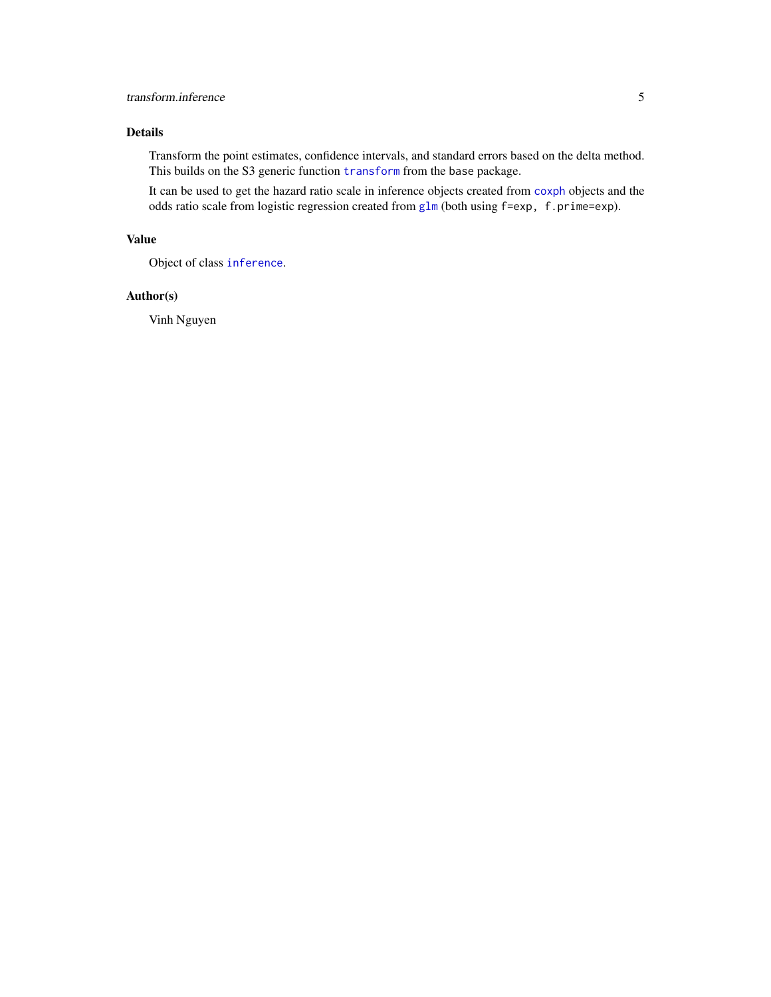#### <span id="page-4-0"></span>transform.inference 5

#### Details

Transform the point estimates, confidence intervals, and standard errors based on the delta method. This builds on the S3 generic function [transform](#page-0-0) from the base package.

It can be used to get the hazard ratio scale in inference objects created from [coxph](#page-0-0) objects and the odds ratio scale from logistic regression created from [glm](#page-0-0) (both using f=exp, f.prime=exp).

#### Value

Object of class [inference](#page-2-1).

#### Author(s)

Vinh Nguyen